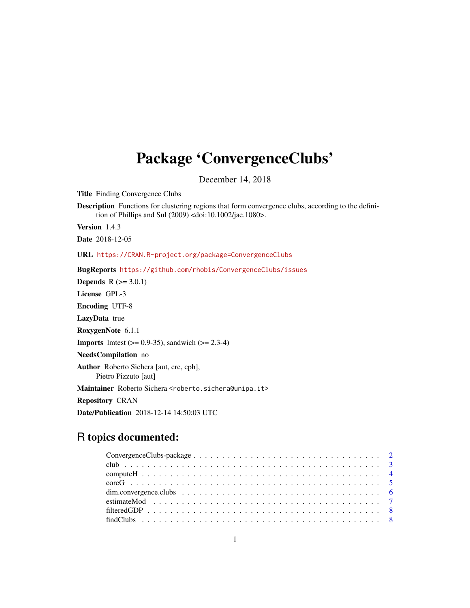# Package 'ConvergenceClubs'

December 14, 2018

Title Finding Convergence Clubs

Description Functions for clustering regions that form convergence clubs, according to the definition of Phillips and Sul (2009) <doi:10.1002/jae.1080>.

Version 1.4.3

Date 2018-12-05

URL <https://CRAN.R-project.org/package=ConvergenceClubs>

BugReports <https://github.com/rhobis/ConvergenceClubs/issues>

**Depends**  $R$  ( $>= 3.0.1$ )

License GPL-3

Encoding UTF-8

LazyData true

RoxygenNote 6.1.1

**Imports** lmtest  $(>= 0.9 - 35)$ , sandwich  $(>= 2.3 - 4)$ 

NeedsCompilation no

Author Roberto Sichera [aut, cre, cph], Pietro Pizzuto [aut]

Maintainer Roberto Sichera <roberto.sichera@unipa.it>

Repository CRAN

Date/Publication 2018-12-14 14:50:03 UTC

# R topics documented: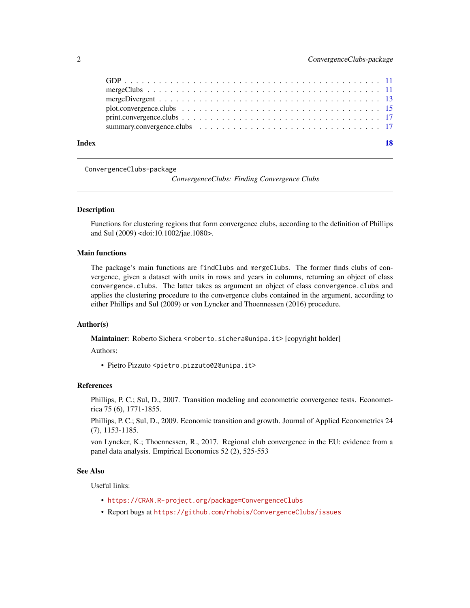<span id="page-1-0"></span>

| Index |  |
|-------|--|
|       |  |
|       |  |
|       |  |
|       |  |
|       |  |
|       |  |

ConvergenceClubs-package

*ConvergenceClubs: Finding Convergence Clubs*

#### Description

Functions for clustering regions that form convergence clubs, according to the definition of Phillips and Sul (2009) <doi:10.1002/jae.1080>.

#### Main functions

The package's main functions are findClubs and mergeClubs. The former finds clubs of convergence, given a dataset with units in rows and years in columns, returning an object of class convergence.clubs. The latter takes as argument an object of class convergence.clubs and applies the clustering procedure to the convergence clubs contained in the argument, according to either Phillips and Sul (2009) or von Lyncker and Thoennessen (2016) procedure.

# Author(s)

Maintainer: Roberto Sichera <roberto.sichera@unipa.it> [copyright holder]

# Authors:

• Pietro Pizzuto <pietro.pizzuto02@unipa.it>

#### References

Phillips, P. C.; Sul, D., 2007. Transition modeling and econometric convergence tests. Econometrica 75 (6), 1771-1855.

Phillips, P. C.; Sul, D., 2009. Economic transition and growth. Journal of Applied Econometrics 24 (7), 1153-1185.

von Lyncker, K.; Thoennessen, R., 2017. Regional club convergence in the EU: evidence from a panel data analysis. Empirical Economics 52 (2), 525-553

#### See Also

Useful links:

- <https://CRAN.R-project.org/package=ConvergenceClubs>
- Report bugs at <https://github.com/rhobis/ConvergenceClubs/issues>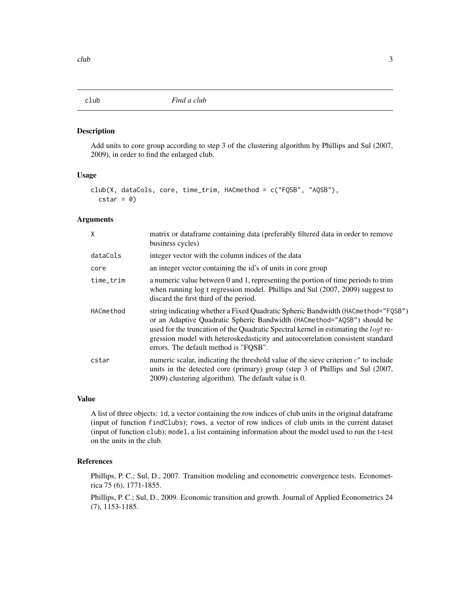<span id="page-2-0"></span>Add units to core group according to step 3 of the clustering algorithm by Phillips and Sul (2007, 2009), in order to find the enlarged club.

# Usage

```
club(X, dataCols, core, time_trim, HACmethod = c("FQSB", "AQSB"),
  \text{cstar} = \emptyset)
```
# Arguments

| X         | matrix or data frame containing data (preferably filtered data in order to remove<br>business cycles)                                                                                                                                                                                                                                                                                |
|-----------|--------------------------------------------------------------------------------------------------------------------------------------------------------------------------------------------------------------------------------------------------------------------------------------------------------------------------------------------------------------------------------------|
| dataCols  | integer vector with the column indices of the data                                                                                                                                                                                                                                                                                                                                   |
| core      | an integer vector containing the id's of units in core group                                                                                                                                                                                                                                                                                                                         |
| time_trim | a numeric value between 0 and 1, representing the portion of time periods to trim<br>when running log t regression model. Phillips and Sul (2007, 2009) suggest to<br>discard the first third of the period.                                                                                                                                                                         |
| HACmethod | string indicating whether a Fixed Quadratic Spheric Bandwidth (HACmethod="FQSB")<br>or an Adaptive Quadratic Spheric Bandwidth (HACmethod="AQSB") should be<br>used for the truncation of the Quadratic Spectral kernel in estimating the <i>logt</i> re-<br>gression model with heteroskedasticity and autocorrelation consistent standard<br>errors. The default method is "FQSB". |
| cstar     | numeric scalar, indicating the threshold value of the sieve criterion $c^*$ to include<br>units in the detected core (primary) group (step 3 of Phillips and Sul (2007,<br>2009) clustering algorithm). The default value is 0.                                                                                                                                                      |

#### Value

A list of three objects: id, a vector containing the row indices of club units in the original dataframe (input of function findClubs); rows, a vector of row indices of club units in the current dataset (input of function club); model, a list containing information about the model used to run the t-test on the units in the club.

#### References

Phillips, P. C.; Sul, D., 2007. Transition modeling and econometric convergence tests. Econometrica 75 (6), 1771-1855.

Phillips, P. C.; Sul, D., 2009. Economic transition and growth. Journal of Applied Econometrics 24 (7), 1153-1185.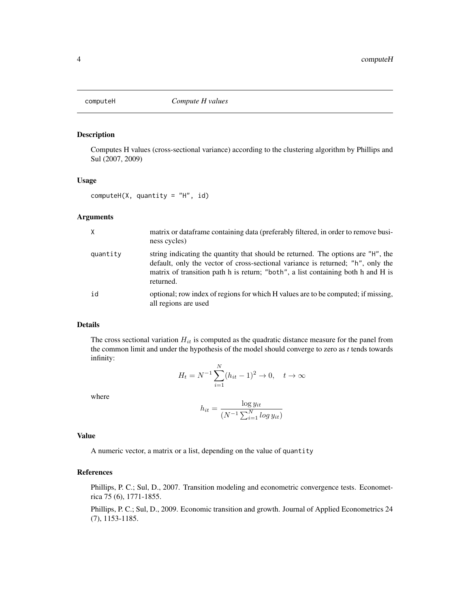<span id="page-3-0"></span>

Computes H values (cross-sectional variance) according to the clustering algorithm by Phillips and Sul (2007, 2009)

#### Usage

 $computeH(X, quantity = "H", id)$ 

### Arguments

| X        | matrix or dataframe containing data (preferably filtered, in order to remove busi-<br>ness cycles)                                                                                                                                                                   |
|----------|----------------------------------------------------------------------------------------------------------------------------------------------------------------------------------------------------------------------------------------------------------------------|
| quantity | string indicating the quantity that should be returned. The options are "H", the<br>default, only the vector of cross-sectional variance is returned; "h", only the<br>matrix of transition path h is return; "both", a list containing both h and H is<br>returned. |
| id       | optional; row index of regions for which H values are to be computed; if missing,<br>all regions are used                                                                                                                                                            |

# Details

The cross sectional variation  $H_{it}$  is computed as the quadratic distance measure for the panel from the common limit and under the hypothesis of the model should converge to zero as  $t$  tends towards infinity:

$$
H_t = N^{-1} \sum_{i=1}^{N} (h_{it} - 1)^2 \to 0, \quad t \to \infty
$$

where

$$
h_{it} = \frac{\log y_{it}}{(N^{-1} \sum_{i=1}^{N} \log y_{it})}
$$

## Value

A numeric vector, a matrix or a list, depending on the value of quantity

# References

Phillips, P. C.; Sul, D., 2007. Transition modeling and econometric convergence tests. Econometrica 75 (6), 1771-1855.

Phillips, P. C.; Sul, D., 2009. Economic transition and growth. Journal of Applied Econometrics 24 (7), 1153-1185.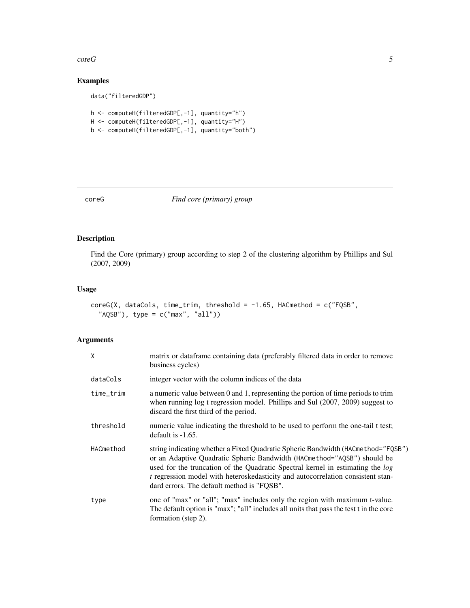#### <span id="page-4-0"></span> $\sim$   $5$

# Examples

```
data("filteredGDP")
```

```
h <- computeH(filteredGDP[,-1], quantity="h")
H <- computeH(filteredGDP[,-1], quantity="H")
b <- computeH(filteredGDP[,-1], quantity="both")
```
# coreG *Find core (primary) group*

# Description

Find the Core (primary) group according to step 2 of the clustering algorithm by Phillips and Sul (2007, 2009)

# Usage

```
coreG(X, dataCols, time_trim, threshold = -1.65, HACmethod = c("FQSB","AQSB"), type = c("max", "all"))
```
### Arguments

| X         | matrix or dataframe containing data (preferably filtered data in order to remove<br>business cycles)                                                                                                                                                                                                                                                                           |
|-----------|--------------------------------------------------------------------------------------------------------------------------------------------------------------------------------------------------------------------------------------------------------------------------------------------------------------------------------------------------------------------------------|
| dataCols  | integer vector with the column indices of the data                                                                                                                                                                                                                                                                                                                             |
| time_trim | a numeric value between 0 and 1, representing the portion of time periods to trim<br>when running log t regression model. Phillips and Sul (2007, 2009) suggest to<br>discard the first third of the period.                                                                                                                                                                   |
| threshold | numeric value indicating the threshold to be used to perform the one-tail t test;<br>default is $-1.65$ .                                                                                                                                                                                                                                                                      |
| HACmethod | string indicating whether a Fixed Quadratic Spheric Bandwidth (HACmethod="FQSB")<br>or an Adaptive Quadratic Spheric Bandwidth (HACmethod="AQSB") should be<br>used for the truncation of the Quadratic Spectral kernel in estimating the log<br>t regression model with heteroskedasticity and autocorrelation consistent stan-<br>dard errors. The default method is "FQSB". |
| type      | one of "max" or "all"; "max" includes only the region with maximum t-value.<br>The default option is "max"; "all" includes all units that pass the test t in the core<br>formation (step 2).                                                                                                                                                                                   |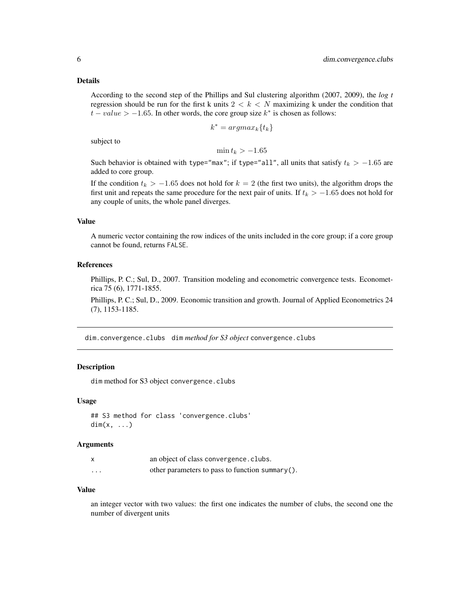#### <span id="page-5-0"></span>Details

According to the second step of the Phillips and Sul clustering algorithm (2007, 2009), the *log t* regression should be run for the first k units  $2 < k < N$  maximizing k under the condition that  $t - value > -1.65$ . In other words, the core group size  $k^*$  is chosen as follows:

$$
k^* = argmax_k \{t_k\}
$$

subject to

 $\min t_k > -1.65$ 

Such behavior is obtained with type="max"; if type="all", all units that satisfy  $t_k > -1.65$  are added to core group.

If the condition  $t_k > -1.65$  does not hold for  $k = 2$  (the first two units), the algorithm drops the first unit and repeats the same procedure for the next pair of units. If  $t_k > -1.65$  does not hold for any couple of units, the whole panel diverges.

# Value

A numeric vector containing the row indices of the units included in the core group; if a core group cannot be found, returns FALSE.

# References

Phillips, P. C.; Sul, D., 2007. Transition modeling and econometric convergence tests. Econometrica 75 (6), 1771-1855.

Phillips, P. C.; Sul, D., 2009. Economic transition and growth. Journal of Applied Econometrics 24 (7), 1153-1185.

dim.convergence.clubs dim *method for S3 object* convergence.clubs

### Description

dim method for S3 object convergence.clubs

#### Usage

```
## S3 method for class 'convergence.clubs'
dim(x, \ldots)
```
### **Arguments**

|          | an object of class convergence. clubs.          |
|----------|-------------------------------------------------|
| $\cdots$ | other parameters to pass to function summary(). |

# Value

an integer vector with two values: the first one indicates the number of clubs, the second one the number of divergent units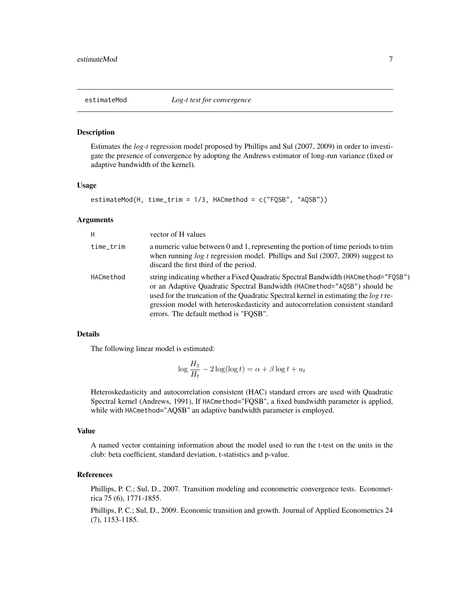<span id="page-6-0"></span>

Estimates the *log-t* regression model proposed by Phillips and Sul (2007, 2009) in order to investigate the presence of convergence by adopting the Andrews estimator of long-run variance (fixed or adaptive bandwidth of the kernel).

# Usage

```
estimateMod(H, time_trim = 1/3, HACmethod = c("FQSB", "AQSB"))
```
#### Arguments

| H         | vector of H values                                                                                                                                                                                                                                                                                                                                                                      |
|-----------|-----------------------------------------------------------------------------------------------------------------------------------------------------------------------------------------------------------------------------------------------------------------------------------------------------------------------------------------------------------------------------------------|
| time_trim | a numeric value between $0$ and $1$ , representing the portion of time periods to trim<br>when running $log t$ regression model. Phillips and Sul (2007, 2009) suggest to<br>discard the first third of the period.                                                                                                                                                                     |
| HACmethod | string indicating whether a Fixed Quadratic Spectral Bandwidth (HACmethod="FQSB")<br>or an Adaptive Quadratic Spectral Bandwidth (HACmethod="AQSB") should be<br>used for the truncation of the Quadratic Spectral kernel in estimating the <i>log t</i> re-<br>gression model with heteroskedasticity and autocorrelation consistent standard<br>errors. The default method is "FOSB". |

#### Details

The following linear model is estimated:

$$
\log \frac{H_1}{H_t} - 2\log(\log t) = \alpha + \beta \log t + u_t
$$

Heteroskedasticity and autocorrelation consistent (HAC) standard errors are used with Quadratic Spectral kernel (Andrews, 1991), If HACmethod="FQSB", a fixed bandwidth parameter is applied, while with HACmethod="AQSB" an adaptive bandwidth parameter is employed.

#### Value

A named vector containing information about the model used to run the t-test on the units in the club: beta coefficient, standard deviation, t-statistics and p-value.

# References

Phillips, P. C.; Sul, D., 2007. Transition modeling and econometric convergence tests. Econometrica 75 (6), 1771-1855.

Phillips, P. C.; Sul, D., 2009. Economic transition and growth. Journal of Applied Econometrics 24 (7), 1153-1185.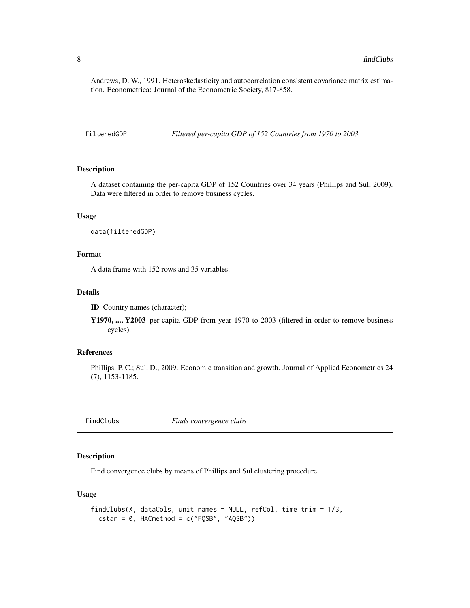<span id="page-7-0"></span>Andrews, D. W., 1991. Heteroskedasticity and autocorrelation consistent covariance matrix estimation. Econometrica: Journal of the Econometric Society, 817-858.

filteredGDP *Filtered per-capita GDP of 152 Countries from 1970 to 2003*

# Description

A dataset containing the per-capita GDP of 152 Countries over 34 years (Phillips and Sul, 2009). Data were filtered in order to remove business cycles.

#### Usage

data(filteredGDP)

# Format

A data frame with 152 rows and 35 variables.

# Details

ID Country names (character);

Y1970, ..., Y2003 per-capita GDP from year 1970 to 2003 (filtered in order to remove business cycles).

#### References

Phillips, P. C.; Sul, D., 2009. Economic transition and growth. Journal of Applied Econometrics 24 (7), 1153-1185.

<span id="page-7-1"></span>findClubs *Finds convergence clubs*

# Description

Find convergence clubs by means of Phillips and Sul clustering procedure.

#### Usage

```
findClubs(X, dataCols, unit_names = NULL, refCol, time_trim = 1/3,
  \text{cstar} = 0, HACmethod = c("FQSB", "AQSB"))
```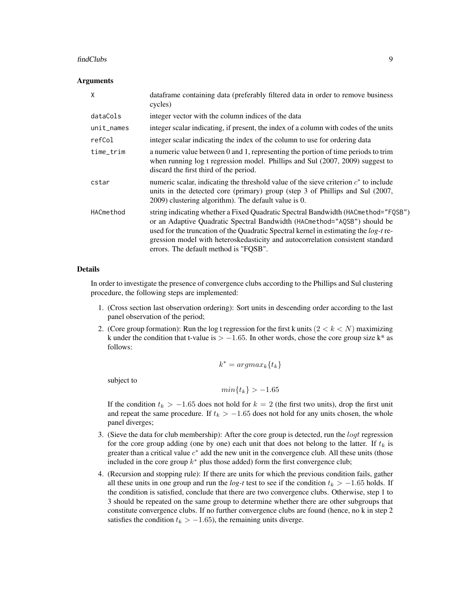#### findClubs 9

#### Arguments

| X            | dataframe containing data (preferably filtered data in order to remove business<br>cycles)                                                                                                                                                                                                                                                                                              |
|--------------|-----------------------------------------------------------------------------------------------------------------------------------------------------------------------------------------------------------------------------------------------------------------------------------------------------------------------------------------------------------------------------------------|
| dataCols     | integer vector with the column indices of the data                                                                                                                                                                                                                                                                                                                                      |
| $unit$ names | integer scalar indicating, if present, the index of a column with codes of the units                                                                                                                                                                                                                                                                                                    |
| refCol       | integer scalar indicating the index of the column to use for ordering data                                                                                                                                                                                                                                                                                                              |
| time_trim    | a numeric value between 0 and 1, representing the portion of time periods to trim<br>when running log t regression model. Phillips and Sul (2007, 2009) suggest to<br>discard the first third of the period.                                                                                                                                                                            |
| cstar        | numeric scalar, indicating the threshold value of the sieve criterion $c^*$ to include<br>units in the detected core (primary) group (step 3 of Phillips and Sul (2007,<br>2009) clustering algorithm). The default value is 0.                                                                                                                                                         |
| HACmethod    | string indicating whether a Fixed Quadratic Spectral Bandwidth (HACmethod="FQSB")<br>or an Adaptive Quadratic Spectral Bandwidth (HACmethod="AQSB") should be<br>used for the truncation of the Quadratic Spectral kernel in estimating the <i>log-t</i> re-<br>gression model with heteroskedasticity and autocorrelation consistent standard<br>errors. The default method is "FQSB". |

#### Details

In order to investigate the presence of convergence clubs according to the Phillips and Sul clustering procedure, the following steps are implemented:

- 1. (Cross section last observation ordering): Sort units in descending order according to the last panel observation of the period;
- 2. (Core group formation): Run the log t regression for the first k units  $(2 < k < N)$  maximizing k under the condition that t-value is  $> -1.65$ . In other words, chose the core group size k\* as follows:

 $k^* = argmax_k\{t_k\}$ 

subject to

 $min\{t_k\} > -1.65$ 

If the condition  $t_k > -1.65$  does not hold for  $k = 2$  (the first two units), drop the first unit and repeat the same procedure. If  $t_k > -1.65$  does not hold for any units chosen, the whole panel diverges;

- 3. (Sieve the data for club membership): After the core group is detected, run the  $\log t$  regression for the core group adding (one by one) each unit that does not belong to the latter. If  $t_k$  is greater than a critical value  $c^*$  add the new unit in the convergence club. All these units (those included in the core group  $k^*$  plus those added) form the first convergence club;
- 4. (Recursion and stopping rule): If there are units for which the previous condition fails, gather all these units in one group and run the *log-t* test to see if the condition  $t_k > -1.65$  holds. If the condition is satisfied, conclude that there are two convergence clubs. Otherwise, step 1 to 3 should be repeated on the same group to determine whether there are other subgroups that constitute convergence clubs. If no further convergence clubs are found (hence, no k in step 2 satisfies the condition  $t_k > -1.65$ ), the remaining units diverge.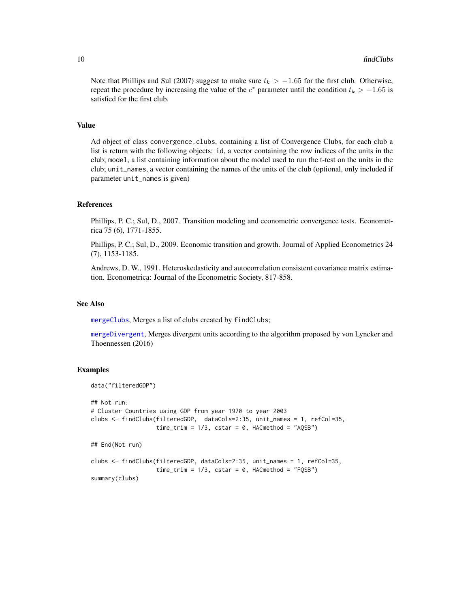<span id="page-9-0"></span>Note that Phillips and Sul (2007) suggest to make sure  $t_k > -1.65$  for the first club. Otherwise, repeat the procedure by increasing the value of the  $c^*$  parameter until the condition  $t_k > -1.65$  is satisfied for the first club.

#### Value

Ad object of class convergence.clubs, containing a list of Convergence Clubs, for each club a list is return with the following objects: id, a vector containing the row indices of the units in the club; model, a list containing information about the model used to run the t-test on the units in the club; unit\_names, a vector containing the names of the units of the club (optional, only included if parameter unit\_names is given)

#### References

Phillips, P. C.; Sul, D., 2007. Transition modeling and econometric convergence tests. Econometrica 75 (6), 1771-1855.

Phillips, P. C.; Sul, D., 2009. Economic transition and growth. Journal of Applied Econometrics 24 (7), 1153-1185.

Andrews, D. W., 1991. Heteroskedasticity and autocorrelation consistent covariance matrix estimation. Econometrica: Journal of the Econometric Society, 817-858.

#### See Also

[mergeClubs](#page-10-1), Merges a list of clubs created by findClubs;

[mergeDivergent](#page-12-1), Merges divergent units according to the algorithm proposed by von Lyncker and Thoennessen (2016)

#### Examples

```
data("filteredGDP")
## Not run:
# Cluster Countries using GDP from year 1970 to year 2003
clubs <- findClubs(filteredGDP, dataCols=2:35, unit_names = 1, refCol=35,
                   time\_trim = 1/3, cstar = 0, HACmethod = "AQSB")## End(Not run)
clubs <- findClubs(filteredGDP, dataCols=2:35, unit_names = 1, refCol=35,
                   time_trim = 1/3, cstar = 0, HACmethod = "FQSB")
summary(clubs)
```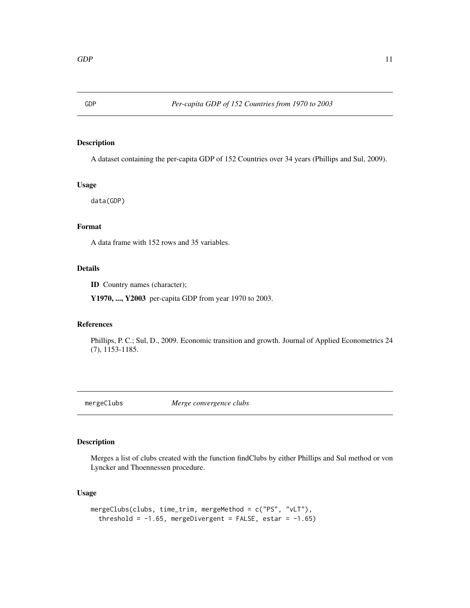<span id="page-10-0"></span>

A dataset containing the per-capita GDP of 152 Countries over 34 years (Phillips and Sul, 2009).

#### Usage

data(GDP)

# Format

A data frame with 152 rows and 35 variables.

# Details

ID Country names (character);

Y1970, ..., Y2003 per-capita GDP from year 1970 to 2003.

# References

Phillips, P. C.; Sul, D., 2009. Economic transition and growth. Journal of Applied Econometrics 24 (7), 1153-1185.

<span id="page-10-1"></span>mergeClubs *Merge convergence clubs*

# Description

Merges a list of clubs created with the function findClubs by either Phillips and Sul method or von Lyncker and Thoennessen procedure.

# Usage

```
mergeClubs(clubs, time_trim, mergeMethod = c("PS", "vLT"),
  threshold = -1.65, mergeDivergent = FALSE, estar = -1.65)
```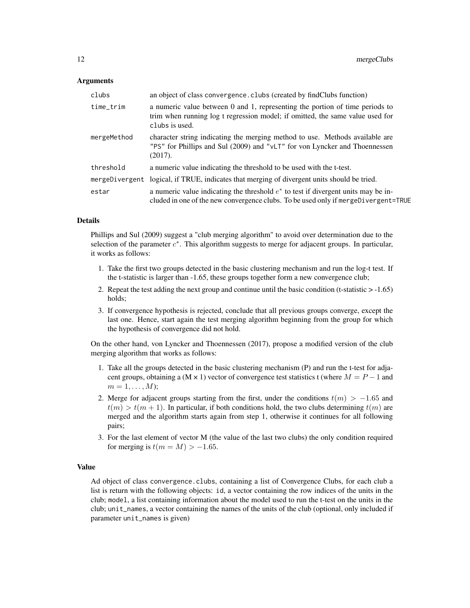### Arguments

| clubs          | an object of class convergence. clubs (created by findClubs function)                                                                                                           |
|----------------|---------------------------------------------------------------------------------------------------------------------------------------------------------------------------------|
| time_trim      | a numeric value between 0 and 1, representing the portion of time periods to<br>trim when running log t regression model; if omitted, the same value used for<br>clubs is used. |
| mergeMethod    | character string indicating the merging method to use. Methods available are<br>"PS" for Phillips and Sul (2009) and "vLT" for von Lyncker and Thoennessen<br>(2017).           |
| threshold      | a numeric value indicating the threshold to be used with the t-test.                                                                                                            |
| mergeDivergent | logical, if TRUE, indicates that merging of divergent units should be tried.                                                                                                    |
| estar          | a numeric value indicating the threshold $e^*$ to test if divergent units may be in-<br>cluded in one of the new convergence clubs. To be used only if merge Divergent=TRUE     |

#### Details

Phillips and Sul (2009) suggest a "club merging algorithm" to avoid over determination due to the selection of the parameter  $c^*$ . This algorithm suggests to merge for adjacent groups. In particular, it works as follows:

- 1. Take the first two groups detected in the basic clustering mechanism and run the log-t test. If the t-statistic is larger than -1.65, these groups together form a new convergence club;
- 2. Repeat the test adding the next group and continue until the basic condition (t-statistic  $> -1.65$ ) holds;
- 3. If convergence hypothesis is rejected, conclude that all previous groups converge, except the last one. Hence, start again the test merging algorithm beginning from the group for which the hypothesis of convergence did not hold.

On the other hand, von Lyncker and Thoennessen (2017), propose a modified version of the club merging algorithm that works as follows:

- 1. Take all the groups detected in the basic clustering mechanism (P) and run the t-test for adjacent groups, obtaining a (M × 1) vector of convergence test statistics t (where  $M = P - 1$  and  $m=1,\ldots,M);$
- 2. Merge for adjacent groups starting from the first, under the conditions  $t(m) > -1.65$  and  $t(m) > t(m + 1)$ . In particular, if both conditions hold, the two clubs determining  $t(m)$  are merged and the algorithm starts again from step 1, otherwise it continues for all following pairs;
- 3. For the last element of vector M (the value of the last two clubs) the only condition required for merging is  $t(m = M) > -1.65$ .

#### Value

Ad object of class convergence.clubs, containing a list of Convergence Clubs, for each club a list is return with the following objects: id, a vector containing the row indices of the units in the club; model, a list containing information about the model used to run the t-test on the units in the club; unit\_names, a vector containing the names of the units of the club (optional, only included if parameter unit\_names is given)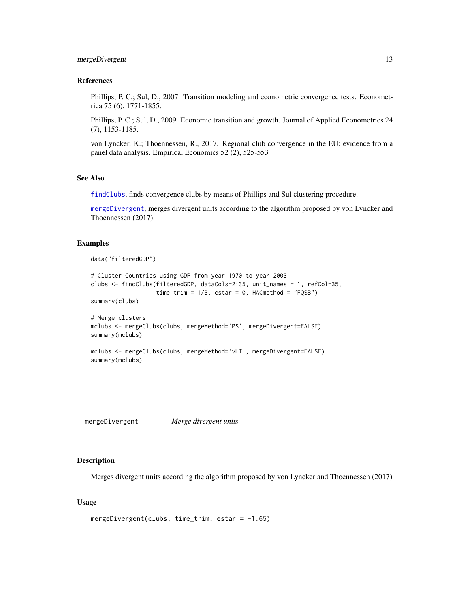# <span id="page-12-0"></span>mergeDivergent 13

# References

Phillips, P. C.; Sul, D., 2007. Transition modeling and econometric convergence tests. Econometrica 75 (6), 1771-1855.

Phillips, P. C.; Sul, D., 2009. Economic transition and growth. Journal of Applied Econometrics 24 (7), 1153-1185.

von Lyncker, K.; Thoennessen, R., 2017. Regional club convergence in the EU: evidence from a panel data analysis. Empirical Economics 52 (2), 525-553

#### See Also

[findClubs](#page-7-1), finds convergence clubs by means of Phillips and Sul clustering procedure.

[mergeDivergent](#page-12-1), merges divergent units according to the algorithm proposed by von Lyncker and Thoennessen (2017).

#### Examples

```
data("filteredGDP")
```

```
# Cluster Countries using GDP from year 1970 to year 2003
clubs <- findClubs(filteredGDP, dataCols=2:35, unit_names = 1, refCol=35,
                   time\_trim = 1/3, cstar = 0, HACmethod = "FQSB")summary(clubs)
# Merge clusters
mclubs <- mergeClubs(clubs, mergeMethod='PS', mergeDivergent=FALSE)
summary(mclubs)
mclubs <- mergeClubs(clubs, mergeMethod='vLT', mergeDivergent=FALSE)
```

```
summary(mclubs)
```
<span id="page-12-1"></span>mergeDivergent *Merge divergent units*

# Description

Merges divergent units according the algorithm proposed by von Lyncker and Thoennessen (2017)

#### Usage

```
mergeDivergent(clubs, time_trim, estar = -1.65)
```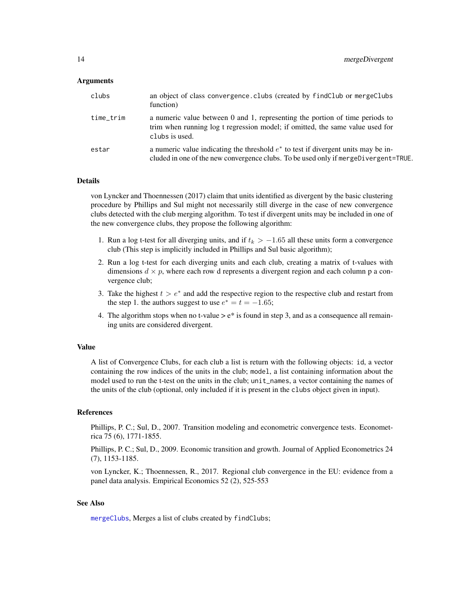#### <span id="page-13-0"></span>Arguments

| clubs     | an object of class convergence. clubs (created by findClub or mergeClubs<br>function)                                                                                           |
|-----------|---------------------------------------------------------------------------------------------------------------------------------------------------------------------------------|
| time_trim | a numeric value between 0 and 1, representing the portion of time periods to<br>trim when running log t regression model; if omitted, the same value used for<br>clubs is used. |
| estar     | a numeric value indicating the threshold $e^*$ to test if divergent units may be in-<br>cluded in one of the new convergence clubs. To be used only if merge Divergent=TRUE.    |

#### Details

von Lyncker and Thoennessen (2017) claim that units identified as divergent by the basic clustering procedure by Phillips and Sul might not necessarily still diverge in the case of new convergence clubs detected with the club merging algorithm. To test if divergent units may be included in one of the new convergence clubs, they propose the following algorithm:

- 1. Run a log t-test for all diverging units, and if  $t_k > -1.65$  all these units form a convergence club (This step is implicitly included in Phillips and Sul basic algorithm);
- 2. Run a log t-test for each diverging units and each club, creating a matrix of t-values with dimensions  $d \times p$ , where each row d represents a divergent region and each column p a convergence club;
- 3. Take the highest  $t > e^*$  and add the respective region to the respective club and restart from the step 1. the authors suggest to use  $e^* = t = -1.65$ ;
- 4. The algorithm stops when no t-value  $> e^*$  is found in step 3, and as a consequence all remaining units are considered divergent.

# Value

A list of Convergence Clubs, for each club a list is return with the following objects: id, a vector containing the row indices of the units in the club; model, a list containing information about the model used to run the t-test on the units in the club; unit\_names, a vector containing the names of the units of the club (optional, only included if it is present in the clubs object given in input).

#### References

Phillips, P. C.; Sul, D., 2007. Transition modeling and econometric convergence tests. Econometrica 75 (6), 1771-1855.

Phillips, P. C.; Sul, D., 2009. Economic transition and growth. Journal of Applied Econometrics 24 (7), 1153-1185.

von Lyncker, K.; Thoennessen, R., 2017. Regional club convergence in the EU: evidence from a panel data analysis. Empirical Economics 52 (2), 525-553

# See Also

[mergeClubs](#page-10-1), Merges a list of clubs created by findClubs;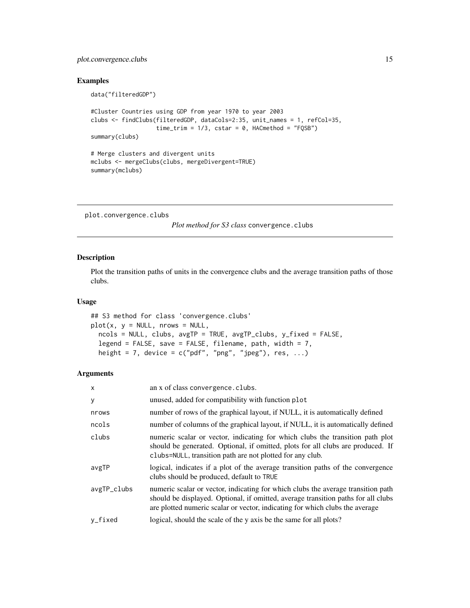# <span id="page-14-0"></span>plot.convergence.clubs 15

#### Examples

```
data("filteredGDP")
#Cluster Countries using GDP from year 1970 to year 2003
clubs <- findClubs(filteredGDP, dataCols=2:35, unit_names = 1, refCol=35,
                   time\_trim = 1/3, extra = 0, HACmethod = "FQSB")summary(clubs)
# Merge clusters and divergent units
mclubs <- mergeClubs(clubs, mergeDivergent=TRUE)
summary(mclubs)
```
plot.convergence.clubs

*Plot method for S3 class* convergence.clubs

# Description

Plot the transition paths of units in the convergence clubs and the average transition paths of those clubs.

#### Usage

```
## S3 method for class 'convergence.clubs'
plot(x, y = NULL, nrows = NULL,ncols = NULL, clubs, avgTP = TRUE, avgTP_clubs, y_fixed = FALSE,
  legend = FALSE, save = FALSE, filename, path, width = 7,
  height = 7, device = c("pdf", "png", "jpeg"), res, ...)
```
# Arguments

| X           | an x of class convergence.clubs.                                                                                                                                                                                                                      |
|-------------|-------------------------------------------------------------------------------------------------------------------------------------------------------------------------------------------------------------------------------------------------------|
| У           | unused, added for compatibility with function plot                                                                                                                                                                                                    |
| nrows       | number of rows of the graphical layout, if NULL, it is automatically defined                                                                                                                                                                          |
| ncols       | number of columns of the graphical layout, if NULL, it is automatically defined                                                                                                                                                                       |
| clubs       | numeric scalar or vector, indicating for which clubs the transition path plot<br>should be generated. Optional, if omitted, plots for all clubs are produced. If<br>clubs=NULL, transition path are not plotted for any club.                         |
| avgTP       | logical, indicates if a plot of the average transition paths of the convergence<br>clubs should be produced, default to TRUE                                                                                                                          |
| avgTP_clubs | numeric scalar or vector, indicating for which clubs the average transition path<br>should be displayed. Optional, if omitted, average transition paths for all clubs<br>are plotted numeric scalar or vector, indicating for which clubs the average |
| $v_f$ ixed  | logical, should the scale of the y axis be the same for all plots?                                                                                                                                                                                    |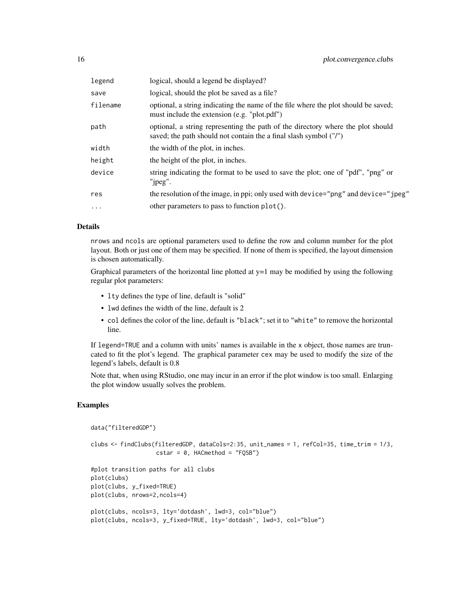| legend   | logical, should a legend be displayed?                                                                                                               |
|----------|------------------------------------------------------------------------------------------------------------------------------------------------------|
| save     | logical, should the plot be saved as a file?                                                                                                         |
| filename | optional, a string indicating the name of the file where the plot should be saved;<br>must include the extension (e.g. "plot.pdf")                   |
| path     | optional, a string representing the path of the directory where the plot should<br>saved; the path should not contain the a final slash symbol ("/") |
| width    | the width of the plot, in inches.                                                                                                                    |
| height   | the height of the plot, in inches.                                                                                                                   |
| device   | string indicating the format to be used to save the plot; one of "pdf", "png" or<br>" $ipeg$ ".                                                      |
| res      | the resolution of the image, in ppi; only used with device="png" and device="jpeg"                                                                   |
| $\ddots$ | other parameters to pass to function plot().                                                                                                         |

#### Details

nrows and ncols are optional parameters used to define the row and column number for the plot layout. Both or just one of them may be specified. If none of them is specified, the layout dimension is chosen automatically.

Graphical parameters of the horizontal line plotted at  $y=1$  may be modified by using the following regular plot parameters:

- lty defines the type of line, default is "solid"
- lwd defines the width of the line, default is 2
- col defines the color of the line, default is "black"; set it to "white" to remove the horizontal line.

If legend=TRUE and a column with units' names is available in the x object, those names are truncated to fit the plot's legend. The graphical parameter cex may be used to modify the size of the legend's labels, default is 0.8

Note that, when using RStudio, one may incur in an error if the plot window is too small. Enlarging the plot window usually solves the problem.

### Examples

```
data("filteredGDP")
```

```
clubs <- findClubs(filteredGDP, dataCols=2:35, unit_names = 1, refCol=35, time_trim = 1/3,
                    \text{cstar} = 0, HACmethod = "FQSB")
```

```
#plot transition paths for all clubs
plot(clubs)
plot(clubs, y_fixed=TRUE)
plot(clubs, nrows=2,ncols=4)
plot(clubs, ncols=3, lty='dotdash', lwd=3, col="blue")
plot(clubs, ncols=3, y_fixed=TRUE, lty='dotdash', lwd=3, col="blue")
```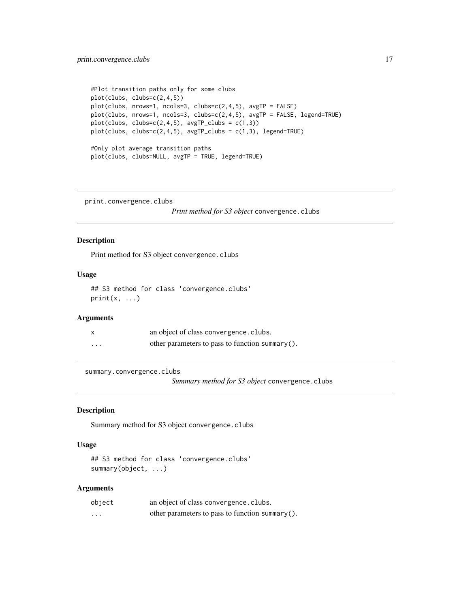```
#Plot transition paths only for some clubs
plot(clubs, clubs=c(2,4,5))
plot(clubs, nrows=1, ncols=3, clubs=c(2,4,5), avgTP = FALSE)plot(clubs, nrows=1, ncols=3, clubs=c(2,4,5), avgTP = FALSE, legend=TRUE)
plot(clubs, clubs=c(2,4,5), avgTP_clubs = c(1,3))plot(clubs, clubs=c(2,4,5), avgTP_clubs = c(1,3), legend=TRUE)
#Only plot average transition paths
plot(clubs, clubs=NULL, avgTP = TRUE, legend=TRUE)
```
print.convergence.clubs

*Print method for S3 object* convergence.clubs

# Description

Print method for S3 object convergence.clubs

# Usage

## S3 method for class 'convergence.clubs'  $print(x, \ldots)$ 

#### Arguments

| $\mathsf{x}$ | an object of class convergence. clubs.          |
|--------------|-------------------------------------------------|
| $\cdots$     | other parameters to pass to function summary(). |

summary.convergence.clubs

*Summary method for S3 object* convergence.clubs

# Description

Summary method for S3 object convergence.clubs

# Usage

```
## S3 method for class 'convergence.clubs'
summary(object, ...)
```
#### Arguments

| object | an object of class convergence. clubs.          |
|--------|-------------------------------------------------|
| .      | other parameters to pass to function summary(). |